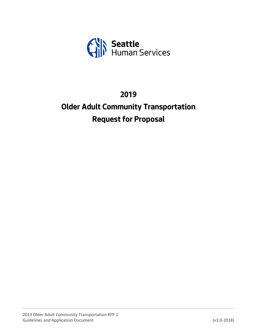

# **2019**

# **Older Adult Community Transportation Request for Proposal**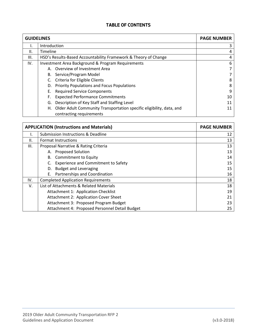## **TABLE OF CONTENTS**

| <b>GUIDELINES</b> |                                                                                                     | <b>PAGE NUMBER</b> |
|-------------------|-----------------------------------------------------------------------------------------------------|--------------------|
|                   | Introduction                                                                                        | 3                  |
| II.               | Timeline                                                                                            | 4                  |
| III.              | HSD's Results-Based Accountability Framework & Theory of Change                                     | 4                  |
| IV.               | <b>Investment Area Background &amp; Program Requirements</b>                                        | 6                  |
|                   | A. Overview of Investment Area                                                                      |                    |
|                   | B. Service/Program Model                                                                            |                    |
|                   | C. Criteria for Eligible Clients                                                                    | 8                  |
|                   | D. Priority Populations and Focus Populations                                                       |                    |
|                   | <b>Required Service Components</b><br>Е.                                                            | 9                  |
|                   | <b>Expected Performance Commitments</b><br>F.                                                       | 10                 |
|                   | Description of Key Staff and Staffing Level<br>G.                                                   |                    |
|                   | H. Older Adult Community Transportation specific eligibility, data, and<br>contracting requirements |                    |

| <b>APPLICATION (Instructions and Materials)</b> | <b>PAGE NUMBER</b>                             |    |
|-------------------------------------------------|------------------------------------------------|----|
|                                                 | <b>Submission Instructions &amp; Deadline</b>  | 12 |
| II.                                             | <b>Format Instructions</b>                     | 13 |
| III.                                            | Proposal Narrative & Rating Criteria           | 13 |
|                                                 | A. Proposed Solution                           | 13 |
|                                                 | B. Commitment to Equity                        | 14 |
|                                                 | <b>Experience and Commitment to Safety</b>     | 15 |
|                                                 | <b>Budget and Leveraging</b><br>D.             | 15 |
|                                                 | Partnerships and Coordination<br>Е.            | 16 |
| IV.                                             | <b>Completed Application Requirements</b>      | 18 |
| V.                                              | List of Attachments & Related Materials        | 18 |
|                                                 | Attachment 1: Application Checklist            | 19 |
|                                                 | Attachment 2: Application Cover Sheet          | 21 |
|                                                 | Attachment 3: Proposed Program Budget          | 23 |
|                                                 | Attachment 4: Proposed Personnel Detail Budget | 25 |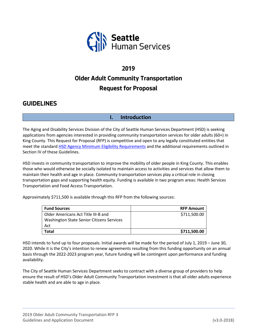

# **2019 Older Adult Community Transportation Request for Proposal**

## **GUIDELINES**

## **I. Introduction**

The Aging and Disability Services Division of the City of Seattle Human Services Department (HSD) is seeking applications from agencies interested in providing community transportation services for older adults (60+) in King County. This Request for Proposal (RFP) is competitive and open to any legally constituted entities that meet the standard HSD Agency [Minimum Eligibility Requirements](http://www.seattle.gov/humanservices/funding-and-reports/funding-opportunities) and the additional requirements outlined in Section IV of these Guidelines.

HSD invests in community transportation to improve the mobility of older people in King County. This enables those who would otherwise be socially isolated to maintain access to activities and services that allow them to maintain their health and age in place. Community transportation services play a critical role in closing transportation gaps and supporting health equity. Funding is available in two program areas: Health Services Transportation and Food Access Transportation.

Approximately \$711,500 is available through this RFP from the following sources:

| <b>Fund Sources</b>                       | <b>RFP Amount</b> |
|-------------------------------------------|-------------------|
| Older Americans Act Title III-B and       | \$711,500.00      |
| Washington State Senior Citizens Services |                   |
| Act                                       |                   |
| Total                                     | \$711,500.00      |

HSD intends to fund up to four proposals. Initial awards will be made for the period of July 1, 2019 – June 30, 2020. While it is the City's intention to renew agreements resulting from this funding opportunity on an annual basis through the 2022-2023 program year, future funding will be contingent upon performance and funding availability.

The City of Seattle Human Services Department seeks to contract with a diverse group of providers to help ensure the result of HSD's Older Adult Community Transportation investment is that all older adults experience stable health and are able to age in place.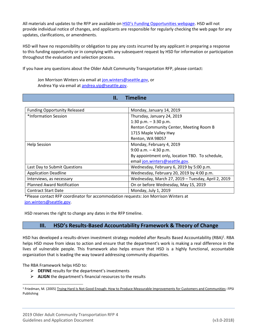All materials and updates to the RFP are available on HSD's [Funding Opportunities webpage.](http://www.seattle.gov/humanservices/funding-and-reports/funding-opportunities) HSD will not provide individual notice of changes, and applicants are responsible for regularly checking the web page for any updates, clarifications, or amendments.

HSD will have no responsibility or obligation to pay any costs incurred by any applicant in preparing a response to this funding opportunity or in complying with any subsequent request by HSD for information or participation throughout the evaluation and selection process.

If you have any questions about the Older Adult Community Transportation RFP, please contact:

Jon Morrison Winters via email at [jon.winters@seattle.gov,](mailto:jon.winters@seattle.gov) or Andrea Yip via email at [andrea.yip@seattle.gov.](mailto:andrea.yip@seattle.gov)

| <b>Timeline</b><br>П.               |                                                    |  |  |
|-------------------------------------|----------------------------------------------------|--|--|
|                                     |                                                    |  |  |
| <b>Funding Opportunity Released</b> | Monday, January 14, 2019                           |  |  |
| *Information Session                | Thursday, January 24, 2019                         |  |  |
|                                     | 1:30 p.m. $-3:30$ p.m.                             |  |  |
|                                     | Renton Community Center, Meeting Room B            |  |  |
|                                     | 1715 Maple Valley Hwy                              |  |  |
|                                     | Renton, WA 98057                                   |  |  |
| <b>Help Session</b>                 | Monday, February 4, 2019                           |  |  |
|                                     | $9:00$ a.m. $-4:30$ p.m.                           |  |  |
|                                     | By appointment only, location TBD. To schedule,    |  |  |
|                                     | email jon.winters@seattle.gov.                     |  |  |
| Last Day to Submit Questions        | Wednesday, February 6, 2019 by 5:00 p.m.           |  |  |
| <b>Application Deadline</b>         | Wednesday, February 20, 2019 by 4:00 p.m.          |  |  |
| Interviews, as necessary            | Wednesday, March 27, 2019 - Tuesday, April 2, 2019 |  |  |
| <b>Planned Award Notification</b>   | On or before Wednesday, May 15, 2019               |  |  |
| <b>Contract Start Date</b>          | Monday, July 1, 2019                               |  |  |

\*Please contact RFP coordinator for accommodation requests: Jon Morrison Winters at [jon.winters@seattle.gov.](mailto:jon.winters@seattle.gov)

HSD reserves the right to change any dates in the RFP timeline.

#### **III. HSD's Results-Based Accountability Framework & Theory of Change**

HSD has developed a results-driven investment strategy modeled after Results Based Accountability (RBA)<sup>1</sup>. RBA helps HSD move from ideas to action and ensure that the department's work is making a real difference in the lives of vulnerable people. This framework also helps ensure that HSD is a highly functional, accountable organization that is leading the way toward addressing community disparities.

The RBA Framework helps HSD to:

 $\overline{a}$ 

- ➢ **DEFINE** results for the department's investments
- ➢ **ALIGN** the department's financial resources to the results

<sup>1</sup> Friedman, M. (2005) Trying Hard Is Not Good Enough: How to Produce Measurable Improvements for Customers and Communities: FPSI Publishing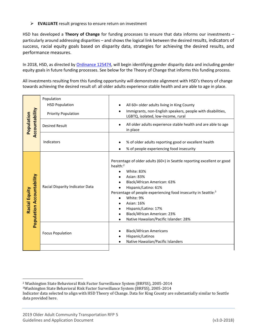➢ **EVALUATE** result progress to ensure return on investment

HSD has developed a **Theory of Change** for funding processes to ensure that data informs our investments – particularly around addressing disparities – and shows the logical link between the desired results, indicators of success, racial equity goals based on disparity data, strategies for achieving the desired results, and performance measures.

In 2018, HSD, as directed by [Ordinance 125474,](https://seattle.legistar.com/View.ashx?M=F&ID=5695995&GUID=30B3D03D-870E-4283-8341-F6AE4D046BF0) will begin identifying gender disparity data and including gender equity goals in future funding processes. See below for the Theory of Change that informs this funding process.

All investments resulting from this funding opportunity will demonstrate alignment with HSD's theory of change towards achieving the desired result of: all older adults experience stable health and are able to age in place.

| Accountability<br>Population                      | Population<br><b>HSD Population</b><br><b>Priority Population</b><br><b>Desired Result</b> | All 60+ older adults living in King County<br>Immigrants, non-English speakers, people with disabilities,<br>LGBTQ, isolated, low-income, rural<br>All older adults experience stable health and are able to age<br>in place                                                                                                                                                                     |
|---------------------------------------------------|--------------------------------------------------------------------------------------------|--------------------------------------------------------------------------------------------------------------------------------------------------------------------------------------------------------------------------------------------------------------------------------------------------------------------------------------------------------------------------------------------------|
|                                                   | Indicators                                                                                 | % of older adults reporting good or excellent health<br>% of people experiencing food insecurity                                                                                                                                                                                                                                                                                                 |
| <b>Population Accountability</b><br>Racial Equity | Racial Disparity Indicator Data                                                            | Percentage of older adults (60+) in Seattle reporting excellent or good<br>health: $2$<br><b>White: 83%</b><br><b>Asian: 83%</b><br>Black/African American: 63%<br>Hispanic/Latino: 61%<br>Percentage of people experiencing food insecurity in Seattle: <sup>3</sup><br>White: 9%<br>Asian: 16%<br>Hispanic/Latino: 17%<br>Black/African American: 23%<br>Native Hawaiian/Pacific Islander: 28% |
|                                                   | <b>Focus Population</b>                                                                    | <b>Black/African Americans</b><br>Hispanic/Latinos<br>Native Hawaiian/Pacific Islanders                                                                                                                                                                                                                                                                                                          |
|                                                   |                                                                                            |                                                                                                                                                                                                                                                                                                                                                                                                  |

 $\overline{a}$ <sup>2</sup> Washington State Behavioral Risk Factor Surveillance System (BRFSS), 2005-2014

<sup>3</sup>Washington State Behavioral Risk Factor Surveillance System (BRFSS), 2005-2014

Indicator data selected to align with HSD Theory of Change. Data for King County are substantially similar to Seattle data provided here.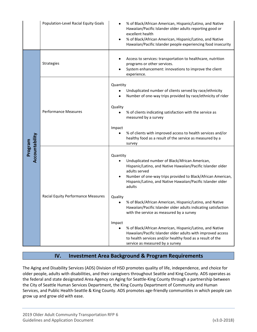|                           | Population-Level Racial Equity Goals      | % of Black/African American, Hispanic/Latino, and Native<br>Hawaiian/Pacific Islander older adults reporting good or<br>excellent health<br>% of Black/African American, Hispanic/Latino, and Native<br>Hawaiian/Pacific Islander people experiencing food insecurity                                                                                                                                       |
|---------------------------|-------------------------------------------|-------------------------------------------------------------------------------------------------------------------------------------------------------------------------------------------------------------------------------------------------------------------------------------------------------------------------------------------------------------------------------------------------------------|
|                           | <b>Strategies</b>                         | Access to services: transportation to healthcare, nutrition<br>programs or other services.<br>System enhancement: innovations to improve the client<br>experience.                                                                                                                                                                                                                                          |
|                           | <b>Performance Measures</b>               | Quantity<br>Unduplicated number of clients served by race/ethnicity<br>Number of one-way trips provided by race/ethnicity of rider<br>٠<br>Quality<br>% of clients indicating satisfaction with the service as<br>measured by a survey                                                                                                                                                                      |
|                           |                                           | Impact<br>% of clients with improved access to health services and/or<br>healthy food as a result of the service as measured by a<br>survey                                                                                                                                                                                                                                                                 |
| Accountability<br>Program | <b>Racial Equity Performance Measures</b> | Quantity<br>Unduplicated number of Black/African American,<br>Hispanic/Latino, and Native Hawaiian/Pacific Islander older<br>adults served<br>Number of one-way trips provided to Black/African American,<br>$\bullet$<br>Hispanic/Latino, and Native Hawaiian/Pacific Islander older<br>adults<br>Quality                                                                                                  |
|                           |                                           | % of Black/African American, Hispanic/Latino, and Native<br>Hawaiian/Pacific Islander older adults indicating satisfaction<br>with the service as measured by a survey<br>Impact<br>% of Black/African American, Hispanic/Latino, and Native<br>Hawaiian/Pacific Islander older adults with improved access<br>to health services and/or healthy food as a result of the<br>service as measured by a survey |

## **IV. Investment Area Background & Program Requirements**

The Aging and Disability Services (ADS) Division of HSD promotes quality of life, independence, and choice for older people, adults with disabilities, and their caregivers throughout Seattle and King County. ADS operates as the federal and state designated Area Agency on Aging for Seattle-King County through a partnership between the City of Seattle Human Services Department, the King County Department of Community and Human Services, and Public Health-Seattle & King County. ADS promotes age-friendly communities in which people can grow up and grow old with ease.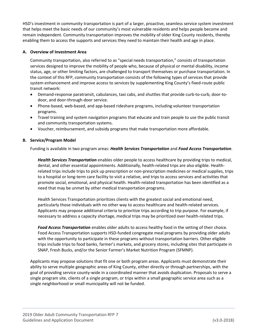HSD's investment in community transportation is part of a larger, proactive, seamless service system investment that helps meet the basic needs of our community's most vulnerable residents and helps people become and remain independent. Community transportation improves the mobility of older King County residents, thereby enabling them to access the supports and services they need to maintain their health and age in place.

#### **A. Overview of Investment Area**

Community transportation, also referred to as "special needs transportation," consists of transportation services designed to improve the mobility of people who, because of physical or mental disability, income status, age, or other limiting factors, are challenged to transport themselves or purchase transportation. In the context of this RFP, community transportation consists of the following types of services that provide system enhancement and improve access to services by supplementing King County's fixed-route public transit network:

- Demand-response paratransit, cabulances, taxi cabs, and shuttles that provide curb-to-curb, door-todoor, and door-through-door service.
- Phone-based, web-based, and app-based rideshare programs, including volunteer transportation programs.
- Travel training and system navigation programs that educate and train people to use the public transit and community transportation systems.
- Voucher, reimbursement, and subsidy programs that make transportation more affordable.

#### **B. Service/Program Model**

Funding is available in two program areas: *Health Services Transportation* and *Food Access Transportation*.

*Health Services Transportation* enables older people to access healthcare by providing trips to medical, dental, and other essential appointments. Additionally, health-related trips are also eligible. Healthrelated trips include trips to pick up prescription or non-prescription medicines or medical supplies, trips to a hospital or long-term care facility to visit a relative, and trips to access services and activities that promote social, emotional, and physical health. Health-related transportation has been identified as a need that may be unmet by other medical transportation programs.

Health Services Transportation prioritizes clients with the greatest social and emotional need, particularly those individuals with no other way to access healthcare and health-related services. Applicants may propose additional criteria to prioritize trips according to trip purpose. For example, if necessary to address a capacity shortage, medical trips may be prioritized over health-related trips.

*Food Access Transportation* enables older adults to access healthy food in the setting of their choice. Food Access Transportation supports HSD-funded congregate meal programs by providing older adults with the opportunity to participate in these programs without transportation barriers. Other eligible trips include trips to food banks, farmer's markets, and grocery stores, including sites that participate in SNAP, Fresh Bucks, and/or the Senior Farmer's Market Nutrition Program (SFMNP).

Applicants may propose solutions that fit one or both program areas. Applicants must demonstrate their ability to serve multiple geographic areas of King County, either directly or through partnerships, with the goal of providing service county-wide in a coordinated manner that avoids duplication. Proposals to serve a single program site, clients of a single program, or trips within a small geographic service area such as a single neighborhood or small municipality will not be funded.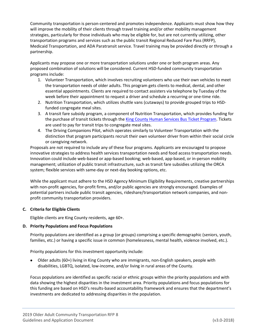Community transportation is person-centered and promotes independence. Applicants must show how they will improve the mobility of their clients through travel training and/or other mobility management strategies, particularly for those individuals who may be eligible for, but are not currently utilizing, other transportation programs and services such as the public transit Regional Reduced Fare Pass (RRFP), Medicaid Transportation, and ADA Paratransit service. Travel training may be provided directly or through a partnership.

Applicants may propose one or more transportation solutions under one or both program areas. Any proposed combination of solutions will be considered. Current HSD-funded community transportation programs include:

- 1. Volunteer Transportation, which involves recruiting volunteers who use their own vehicles to meet the transportation needs of older adults. This program gets clients to medical, dental, and other essential appointments. Clients are required to contact assisters via telephone by Tuesday of the week before their appointment to request a driver and schedule a recurring or one-time ride.
- 2. Nutrition Transportation, which utilizes shuttle vans (cutaways) to provide grouped trips to HSDfunded congregate meal sites.
- 3. A transit fare subsidy program, a component of Nutrition Transportation, which provides funding for the purchase of transit tickets through th[e King County Human Services Bus Ticket Program.](https://www.kingcounty.gov/depts/community-human-services/housing/services/homeless-housing/bus-ticket-program.aspx) Tickets are used to pay for transit trips to congregate meal sites.
- 4. The Driving Companions Pilot, which operates similarly to Volunteer Transportation with the distinction that program participants recruit their own volunteer driver from within their social circle or caregiving network.

Proposals are not required to include any of these four programs. Applicants are encouraged to propose innovative strategies to address health services transportation needs and food access transportation needs. Innovation could include web-based or app-based booking; web-based, app-based, or in-person mobility management; utilization of public transit infrastructure, such as transit fare subsidies utilizing the ORCA system; flexible services with same-day or next-day booking options, etc.

While the applicant must adhere to the HSD Agency Minimum Eligibility Requirements, creative partnerships with non-profit agencies, for-profit firms, and/or public agencies are strongly encouraged. Examples of potential partners include public transit agencies, rideshare/transportation network companies, and nonprofit community transportation providers.

#### **C. Criteria for Eligible Clients**

Eligible clients are King County residents, age 60+.

#### **D. Priority Populations and Focus Populations**

Priority populations are identified as a group (or groups) comprising a specific demographic (seniors, youth, families, etc.) or having a specific issue in common (homelessness, mental health, violence involved, etc.).

Priority populations for this investment opportunity include:

• Older adults (60+) living in King County who are immigrants, non-English speakers, people with disabilities, LGBTQ, isolated, low-income, and/or living in rural areas of the County.

Focus populations are identified as specific racial or ethnic groups within the priority populations and with data showing the highest disparities in the investment area. Priority populations and focus populations for this funding are based on HSD's results-based accountability framework and ensures that the department's investments are dedicated to addressing disparities in the population.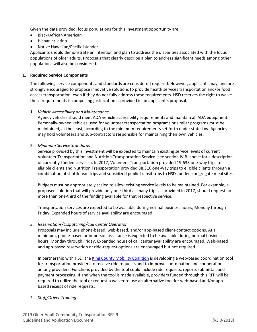Given the data provided, focus populations for this investment opportunity are:

- Black/African American
- Hispanic/Latino
- Native Hawaiian/Pacific Islander

Applicants should demonstrate an intention and plan to address the disparities associated with the focus populations of older adults. Proposals that clearly describe a plan to address significant needs among other populations will also be considered.

#### **E. Required Service Components**

The following service components and standards are considered required. However, applicants may, and are strongly encouraged to propose innovative solutions to provide health services transportation and/or food access transportation, even if they do not fully address these requirements. HSD reserves the right to waive these requirements if compelling justification is provided in an applicant's proposal.

#### 1. *Vehicle Accessibility and Maintenance*

Agency vehicles should meet ADA vehicle accessibility requirements and maintain all ADA equipment. Personally-owned vehicles used for volunteer transportation programs or similar programs must be maintained, at the least, according to the minimum requirements set forth under state law. Agencies may hold volunteers and sub-contractors responsible for maintaining their own vehicles.

#### 2. *Minimum Service Standards*

Service provided by this investment will be expected to maintain existing service levels of current Volunteer Transportation and Nutrition Transportation Service (see section IV.B. above for a description of currently-funded services). In 2017, Volunteer Transportation provided 19,633 one-way trips to eligible clients and Nutrition Transportation provided 38,310 one-way trips to eligible clients through a combination of shuttle-van trips and subsidized public transit trips to HSD-funded congregate meal sites.

Budgets must be appropriately scaled to allow existing service levels to be maintained. For example, a proposed solution that will provide only one-third as many trips as provided in 2017, should request no more than one-third of the funding available for that respective service.

Transportation services are expected to be available during normal business hours, Monday through Friday. Expanded hours of service availability are encouraged.

#### 3. *Reservations/Dispatching/Call Center Operation*

Proposals may include phone-based, web-based, and/or app-based client-contact options. At a minimum, phone-based or in-person assistance is expected to be available during normal business hours, Monday through Friday. Expanded hours of call center availability are encouraged. Web-based and app-based reservation or ride-request options are encouraged but not required.

In partnership with HSD, the [King County Mobility Coalition](http://metro.kingcounty.gov/advisory-groups/mobility-coalition/) is developing a web-based coordination tool for transportation providers to receive ride requests and to improve coordination and cooperation among providers. Functions provided by the tool could include ride requests, reports submittal, and payment processing. If and when the tool is made available, providers funded through this RFP will be required to utilize the tool or request a waiver to use an alternative tool for web-based and/or appbased receipt of ride requests.

#### 4. *Staff/Driver Training*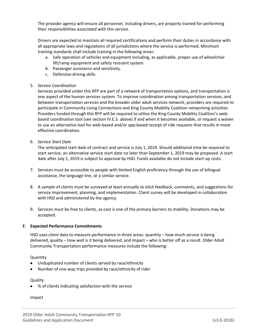The provider agency will ensure all personnel, including drivers, are properly trained for performing their responsibilities associated with this service.

Drivers are expected to maintain all required certifications and perform their duties in accordance with all appropriate laws and regulations of all jurisdictions where the service is performed. Minimum training standards shall include training in the following areas:

- a. Safe operation of vehicles and equipment including, as applicable, proper use of wheelchair lift/ramp equipment and safety restraint system.
- b. Passenger assistance and sensitivity.
- c. Defensive driving skills.

#### 5. *Service Coordination*

Services provided under this RFP are part of a network of transportation options, and transportation is one aspect of the human services system. To improve coordination among transportation services, and between transportation services and the broader older adult services network, providers are required to participate in Community Living Connections and King County Mobility Coalition networking activities. Providers funded through this RFP will be required to utilize the King County Mobility Coalition's webbased coordination tool (see section IV.E.3. above) if and when it becomes available, or request a waiver to use an alternative tool for web-based and/or app-based receipt of ride requests that results in more effective coordination.

6. *Service Start Date*

The anticipated start date of contract and service is July 1, 2019. Should additional time be required to start service, an alternative service start date no later than September 1, 2019 may be proposed. A start date after July 1, 2019 is subject to approval by HSD. Funds available do not include start-up costs.

- 7. Services must be accessible to people with limited English proficiency through the use of bilingual assistance, the language line, or a similar service.
- 8. A sample of clients must be surveyed at least annually to elicit feedback, comments, and suggestions for service improvement, planning, and implementation. Client survey will be developed in collaboration with HSD and administered by the agency.
- 9. Services must be free to clients, as cost is one of the primary barriers to mobility. Donations may be accepted.

#### **F. Expected Performance Commitments**

HSD uses client data to measure performance in three areas: quantity – how much service is being delivered, quality – how well is it being delivered, and impact – who is better off as a result. Older Adult Community Transportation performance measures include the following:

Quantity

- Unduplicated number of clients served by race/ethnicity
- Number of one-way trips provided by race/ethnicity of rider

Quality

• % of clients indicating satisfaction with the service

Impact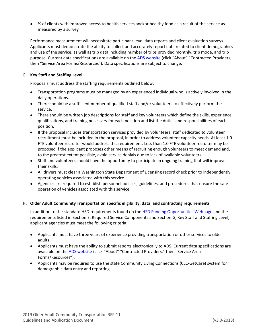• % of clients with improved access to health services and/or healthy food as a result of the service as measured by a survey

Performance measurement will necessitate participant-level data reports and client evaluation surveys. Applicants must demonstrate the ability to collect and accurately report data related to client demographics and use of the service, as well as trip data including number of trips provided monthly, trip mode, and trip purpose. Current data specifications are available on the [ADS website](http://www.agingkingcounty.org/) (click "About" "Contracted Providers," then "Service Area Forms/Resources"). Data specifications are subject to change.

#### G. **Key Staff and Staffing Level**

Proposals must address the staffing requirements outlined below:

- Transportation programs must be managed by an experienced individual who is actively involved in the daily operations.
- There should be a sufficient number of qualified staff and/or volunteers to effectively perform the service.
- There should be written job descriptions for staff and key volunteers which define the skills, experience, qualifications, and training necessary for each position and list the duties and responsibilities of each position.
- If the proposal includes transportation services provided by volunteers, staff dedicated to volunteer recruitment must be included in the proposal, in order to address volunteer capacity needs. At least 1.0 FTE volunteer recruiter would address this requirement. Less than 1.0 FTE volunteer recruiter may be proposed if the applicant proposes other means of recruiting enough volunteers to meet demand and, to the greatest extent possible, avoid service denials due to lack of available volunteers.
- Staff and volunteers should have the opportunity to participate in ongoing training that will improve their skills.
- All drivers must clear a Washington State Department of Licensing record check prior to independently operating vehicles associated with this service.
- Agencies are required to establish personnel policies, guidelines, and procedures that ensure the safe operation of vehicles associated with this service.

#### **H. Older Adult Community Transportation specific eligibility, data, and contracting requirements**

In addition to the standard HSD requirements found on the [HSD Funding Opportunities Webpage](http://www.seattle.gov/humanservices/funding-and-reports/funding-opportunities) and the requirements listed in Section E, Required Service Components and Section G, Key Staff and Staffing Level, applicant agencies must meet the following criteria:

- Applicants must have three years of experience providing transportation or other services to older adults.
- Applicants must have the ability to submit reports electronically to ADS. Current data specifications are available on the **ADS website** (click "About" "Contracted Providers," then "Service Area Forms/Resources").
- Applicants may be required to use the state Community Living Connections (CLC-GetCare) system for demographic data entry and reporting.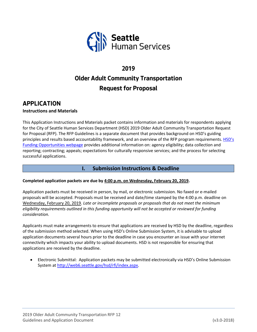

# **2019 Older Adult Community Transportation Request for Proposal**

# **APPLICATION**

#### **Instructions and Materials**

This Application Instructions and Materials packet contains information and materials for respondents applying for the City of Seattle Human Services Department (HSD) 2019 Older Adult Community Transportation Request for Proposal (RFP). The RFP Guidelines is a separate document that provides background on HSD's guiding principles and results based accountability framework, and an overview of the RFP program requirements. [HSD's](http://www.seattle.gov/humanservices/funding-and-reports/funding-opportunities)  [Funding Opportunities webpage](http://www.seattle.gov/humanservices/funding-and-reports/funding-opportunities) provides additional information on: agency eligibility; data collection and reporting; contracting; appeals; expectations for culturally responsive services; and the process for selecting successful applications.

## **I. Submission Instructions & Deadline**

#### **Completed application packets are due by 4:00 p.m. on Wednesday, February 20, 2019.**

Application packets must be received in person, by mail, or electronic submission. No faxed or e-mailed proposals will be accepted. Proposals must be received and date/time stamped by the 4:00 p.m. deadline on Wednesday, February 20, 2019. *Late or incomplete proposals or proposals that do not meet the minimum eligibility requirements outlined in this funding opportunity will not be accepted or reviewed for funding consideration.*

Applicants must make arrangements to ensure that applications are received by HSD by the deadline, regardless of the submission method selected. When using HSD's Online Submission System, it is advisable to upload application documents several hours prior to the deadline in case you encounter an issue with your internet connectivity which impacts your ability to upload documents. HSD is not responsible for ensuring that applications are received by the deadline.

• Electronic Submittal: Application packets may be submitted electronically via HSD's Online Submission System at [http://web6.seattle.gov/hsd/rfi/index.aspx.](http://web6.seattle.gov/hsd/rfi/index.aspx)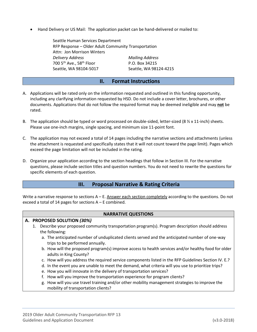• Hand Delivery or US Mail: The application packet can be hand-delivered or mailed to:

Seattle Human Services Department RFP Response – Older Adult Community Transportation Attn: Jon Morrison Winters *Delivery Address Mailing Address*  $700\,5^{th}$  Ave.,  $58^{th}$  Floor P.O. Box 34215 Seattle, WA 98104-5017 Seattle, WA 98124-4215

#### **II. Format Instructions**

- A. Applications will be rated only on the information requested and outlined in this funding opportunity, including any clarifying information requested by HSD. Do not include a cover letter, brochures, or other documents. Applications that do not follow the required format may be deemed ineligible and may **not** be rated.
- B. The application should be typed or word processed on double-sided, letter-sized (8  $\frac{1}{2}$  x 11-inch) sheets. Please use one-inch margins, single spacing, and minimum size 11-point font.
- C. The application may not exceed a total of 14 pages including the narrative sections and attachments (unless the attachment is requested and specifically states that it will not count toward the page limit). Pages which exceed the page limitation will not be included in the rating.
- D. Organize your application according to the section headings that follow in Section III. For the narrative questions, please include section titles and question numbers. You do not need to rewrite the questions for specific elements of each question.

## **III. Proposal Narrative & Rating Criteria**

Write a narrative response to sections A – E. Answer each section completely according to the questions. Do not exceed a total of 14 pages for sections A – E combined.

#### **NARRATIVE QUESTIONS**

#### **A. PROPOSED SOLUTION** *(30%)*

- 1. Describe your proposed community transportation program(s). Program description should address the following:
	- a. The anticipated number of unduplicated clients served and the anticipated number of one-way trips to be performed annually.
	- b. How will the proposed program(s) improve access to health services and/or healthy food for older adults in King County?
	- c. How will you address the required service components listed in the RFP Guidelines Section IV. E.?
	- d. In the event you are unable to meet the demand, what criteria will you use to prioritize trips?
	- e. How you will innovate in the delivery of transportation services?
	- f. How will you improve the transportation experience for program clients?
	- g. How will you use travel training and/or other mobility management strategies to improve the mobility of transportation clients?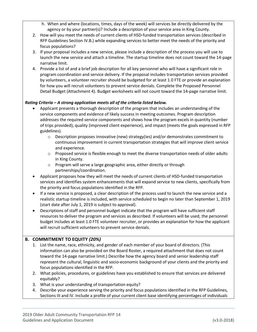- h. When and where (locations, times, days of the week) will services be directly delivered by the agency or by your partner(s)? Include a description of your service area in King County.
- 2. How will you meet the needs of current clients of HSD-funded transportation services (described in RFP Guidelines Section IV.B.) while expanding services to better meet the needs of the priority and focus populations?
- 3. If your proposal includes a new service, please include a description of the process you will use to launch the new service and attach a timeline. The startup timeline does not count toward the 14-page narrative limit.
- 4. Provide a list of and a brief job description for all key personnel who will have a significant role in program coordination and service delivery. If the proposal includes transportation services provided by volunteers, a volunteer recruiter should be budgeted for at least 1.0 FTE or provide an explanation for how you will recruit volunteers to prevent service denials. Complete the Proposed Personnel Detail Budget (Attachment 4). Budget worksheets will not count toward the 14-page narrative limit.

## *Rating Criteria – A strong application meets all of the criteria listed below.*

- Applicant presents a thorough description of the program that includes an understanding of the service components and evidence of likely success in meeting outcomes. Program description addresses the required service components and shows how the program excels in quantity (number of trips provided), quality (improved client experience), and impact (meets the goals expressed in RFP guidelines).
	- o Description proposes innovative (new) strategy(ies) and/or demonstrates commitment to continuous improvement in current transportation strategies that will improve client service and experience.
	- $\circ$  Proposed service is flexible enough to meet the diverse transportation needs of older adults in King County.
	- o Program will serve a large geographic area, either directly or through partnerships/coordination.
- Applicant proposes how they will meet the needs of current clients of HSD-funded transportation services and identifies system enhancements that will expand service to new clients, specifically from the priority and focus populations identified in the RFP.
- If a new service is proposed, a clear description of the process used to launch the new service and a realistic startup timeline is included, with service scheduled to begin no later than September 1, 2019 (start date after July 1, 2019 is subject to approval).
- Descriptions of staff and personnel budget indicate that the program will have sufficient staff resources to deliver the program and services as described. If volunteers will be used, the personnel budget includes at least 1.0 FTE volunteer recruiter, or provides an explanation for how the applicant will recruit sufficient volunteers to prevent service denials.

## **B. COMMITMENT TO EQUITY** *(20%)*

- 1. List the name, race, ethnicity, and gender of each member of your board of directors. (This information can also be provided on the Board Roster, a required attachment that does not count toward the 14-page narrative limit.) Describe how the agency board and senior leadership staff represent the cultural, linguistic and socio-economic background of your clients and the priority and focus populations identified in the RFP.
- 2. What policies, procedures, or guidelines have you established to ensure that services are delivered equitably?
- 3. What is your understanding of transportation equity?
- 4. Describe your experience serving the priority and focus populations identified in the RFP Guidelines, Sections III and IV. Include a profile of your current client base identifying percentages of individuals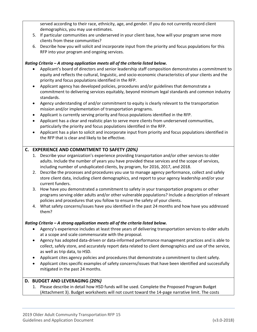served according to their race, ethnicity, age, and gender. If you do not currently record client demographics, you may use estimates.

- 5. If particular communities are underserved in your client base, how will your program serve more clients from these communities?
- 6. Describe how you will solicit and incorporate input from the priority and focus populations for this RFP into your program and ongoing services.

## *Rating Criteria – A strong application meets all of the criteria listed below.*

- Applicant's board of directors and senior leadership staff composition demonstrates a commitment to equity and reflects the cultural, linguistic, and socio-economic characteristics of your clients and the priority and focus populations identified in the RFP.
- Applicant agency has developed policies, procedures and/or guidelines that demonstrate a commitment to delivering services equitably, beyond minimum legal standards and common industry standards.
- Agency understanding of and/or commitment to equity is clearly relevant to the transportation mission and/or implementation of transportation programs.
- Applicant is currently serving priority and focus populations identified in the RFP.
- Applicant has a clear and realistic plan to serve more clients from underserved communities, particularly the priority and focus populations identified in the RFP.
- Applicant has a plan to solicit and incorporate input from priority and focus populations identified in the RFP that is clear and likely to be effective.

## **C. EXPERIENCE AND COMMITMENT TO SAFETY** *(20%)*

- 1. Describe your organization's experience providing transportation and/or other services to older adults. Include the number of years you have provided these services and the scope of services, including number of unduplicated clients, by program, for 2016, 2017, and 2018.
- 2. Describe the processes and procedures you use to manage agency performance, collect and safely store client data, including client demographics, and report to your agency leadership and/or your current funders.
- 3. How have you demonstrated a commitment to safety in your transportation programs or other programs serving older adults and/or other vulnerable populations? Include a description of relevant policies and procedures that you follow to ensure the safety of your clients.
- 4. What safety concerns/issues have you identified in the past 24 months and how have you addressed them?

#### *Rating Criteria – A strong application meets all of the criteria listed below.*

- Agency's experience includes at least three years of delivering transportation services to older adults at a scope and scale commensurate with the proposal.
- Agency has adopted data-driven or data-informed performance management practices and is able to collect, safely store, and accurately report data related to client demographics and use of the service, as well as trip data, to HSD.
- Applicant cites agency policies and procedures that demonstrate a commitment to client safety.
- Applicant cites specific examples of safety concerns/issues that have been identified and successfully mitigated in the past 24 months.

#### **D. BUDGET AND LEVERAGING** *(20%)*

1. Please describe in detail how HSD funds will be used. Complete the Proposed Program Budget (Attachment 3). Budget worksheets will not count toward the 14-page narrative limit. The costs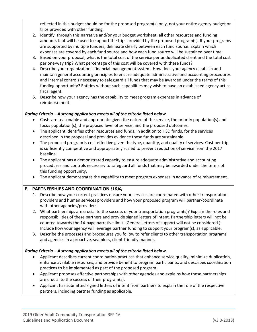reflected in this budget should be for the proposed program(s) only, not your entire agency budget or trips provided with other funding.

- 2. Identify, through this narrative and/or your budget worksheet, all other resources and funding amounts that will be used to support the trips provided by the proposed program(s). If your programs are supported by multiple funders, delineate clearly between each fund source. Explain which expenses are covered by each fund source and how each fund source will be sustained over time.
- 3. Based on your proposal, what is the total cost of the service per unduplicated client and the total cost per one-way trip? What percentage of this cost will be covered with these funds?
- 4. Describe your organization's financial management system. How does your agency establish and maintain general accounting principles to ensure adequate administrative and accounting procedures and internal controls necessary to safeguard all funds that may be awarded under the terms of this funding opportunity? Entities without such capabilities may wish to have an established agency act as fiscal agent.
- 5. Describe how your agency has the capability to meet program expenses in advance of reimbursement.

### *Rating Criteria – A strong application meets all of the criteria listed below.*

- Costs are reasonable and appropriate given the nature of the service, the priority population(s) and focus population(s), the proposed level of service, and the proposed outcomes.
- The applicant identifies other resources and funds, in addition to HSD funds, for the services described in the proposal and provides evidence these funds are sustainable.
- The proposed program is cost effective given the type, quantity, and quality of services. Cost per trip is sufficiently competitive and appropriately scaled to prevent reduction of service from the 2017 baseline.
- The applicant has a demonstrated capacity to ensure adequate administrative and accounting procedures and controls necessary to safeguard all funds that may be awarded under the terms of this funding opportunity.
- The applicant demonstrates the capability to meet program expenses in advance of reimbursement.

## **E. PARTNERSHIPS AND COORDINATION** *(10%)*

- 1. Describe how your current practices ensure your services are coordinated with other transportation providers and human services providers and how your proposed program will partner/coordinate with other agencies/providers.
- 2. What partnerships are crucial to the success of your transportation program(s)? Explain the roles and responsibilities of these partners and provide signed letters of intent. Partnership letters will not be counted towards the 14-page narrative limit. (General letters of support will not be considered.) Include how your agency will leverage partner funding to support your program(s), as applicable.
- 3. Describe the processes and procedures you follow to refer clients to other transportation programs and agencies in a proactive, seamless, client-friendly manner.

#### *Rating Criteria – A strong application meets all of the criteria listed below.*

- Applicant describes current coordination practices that enhance service quality, minimize duplication, enhance available resources, and provide benefit to program participants; and describes coordination practices to be implemented as part of the proposed program.
- Applicant proposes effective partnerships with other agencies and explains how these partnerships are crucial to the success of their program(s).
- Applicant has submitted signed letters of intent from partners to explain the role of the respective partners, including partner funding as applicable.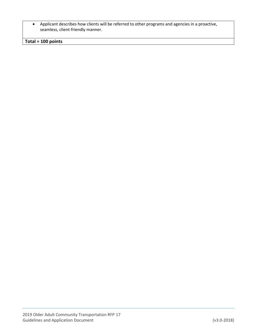• Applicant describes how clients will be referred to other programs and agencies in a proactive, seamless, client-friendly manner.

**Total = 100 points**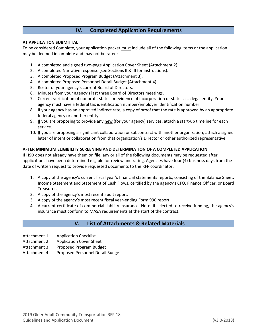## **IV. Completed Application Requirements**

#### **AT APPLICATION SUBMITTAL**

To be considered Complete, your application packet must include all of the following items or the application may be deemed incomplete and may not be rated:

- 1. A completed and signed two-page Application Cover Sheet (Attachment 2).
- 2. A completed Narrative response (see Sections II & III for instructions).
- 3. A completed Proposed Program Budget (Attachment 3).
- 4. A completed Proposed Personnel Detail Budget (Attachment 4).
- 5. Roster of your agency's current Board of Directors.
- 6. Minutes from your agency's last three Board of Directors meetings.
- 7. Current verification of nonprofit status or evidence of incorporation or status as a legal entity. Your agency must have a federal tax identification number/employer identification number.
- 8. If your agency has an approved indirect rate, a copy of proof that the rate is approved by an appropriate federal agency or another entity.
- 9. If you are proposing to provide any new (for your agency) services, attach a start-up timeline for each service.
- 10. If you are proposing a significant collaboration or subcontract with another organization, attach a signed letter of intent or collaboration from that organization's Director or other authorized representative.

#### **AFTER MINIMUM ELIGIBILITY SCREENING AND DETERMINATION OF A COMPLETED APPLICATION**

If HSD does not already have them on file, any or all of the following documents may be requested after applications have been determined eligible for review and rating. Agencies have four (4) business days from the date of written request to provide requested documents to the RFP coordinator:

- 1. A copy of the agency's current fiscal year's financial statements reports, consisting of the Balance Sheet, Income Statement and Statement of Cash Flows, certified by the agency's CFO, Finance Officer, or Board Treasurer.
- 2. A copy of the agency's most recent audit report.
- 3. A copy of the agency's most recent fiscal year-ending Form 990 report.
- 4. A current certificate of commercial liability insurance. Note: if selected to receive funding, the agency's insurance must conform to MASA requirements at the start of the contract.

## **V. List of Attachments & Related Materials**

- Attachment 1: Application Checklist
- Attachment 2: Application Cover Sheet
- Attachment 3: Proposed Program Budget
- Attachment 4: Proposed Personnel Detail Budget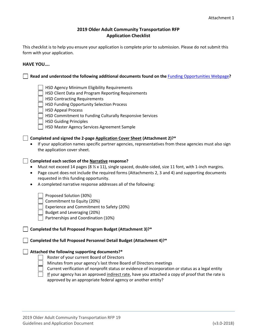### **2019 Older Adult Community Transportation RFP Application Checklist**

This checklist is to help you ensure your application is complete prior to submission. Please do not submit this form with your application.

#### **HAVE YOU….**

**Read and understood the following additional documents found on the** [Funding Opportunities Webpage](http://www.seattle.gov/humanservices/funding-and-reports/funding-opportunities)**?**

- HSD Agency Minimum Eligibility Requirements
- HSD Client Data and Program Reporting Requirements
- HSD Contracting Requirements
- HSD Funding Opportunity Selection Process
- | HSD Appeal Process
- HSD Commitment to Funding Culturally Responsive Services
- | HSD Guiding Principles
- | | HSD Master Agency Services Agreement Sample

#### **Completed and signed the 2-page Application Cover Sheet (Attachment 2)?\***

• If your application names specific partner agencies, representatives from these agencies must also sign the application cover sheet.

#### **Completed each section of the Narrative response?**

- Must not exceed 14 pages ( $8\frac{1}{2}$  x 11), single spaced, double-sided, size 11 font, with 1-inch margins.
- Page count does not include the required forms (Attachments 2, 3 and 4) and supporting documents requested in this funding opportunity.
- A completed narrative response addresses all of the following:

Proposed Solution (30%)

- Commitment to Equity (20%)
- Experience and Commitment to Safety (20%)
- Budget and Leveraging (20%)
- Partnerships and Coordination (10%)

#### **Completed the full Proposed Program Budget (Attachment 3)?\***

**Completed the full Proposed Personnel Detail Budget (Attachment 4)?\***

#### **Attached the following supporting documents?\***

- Roster of your current Board of Directors
- Minutes from your agency's last three Board of Directors meetings
- Current verification of nonprofit status or evidence of incorporation or status as a legal entity
- If your agency has an approved indirect rate, have you attached a copy of proof that the rate is approved by an appropriate federal agency or another entity?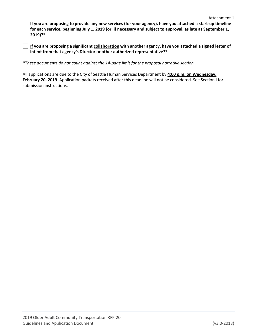**If you are proposing to provide any new services (for your agency), have you attached a start-up timeline for each service, beginning July 1, 2019 (or, if necessary and subject to approval, as late as September 1, 2019)?\***

**If you are proposing a significant collaboration with another agency, have you attached a signed letter of intent from that agency's Director or other authorized representative?\***

**\****These documents do not count against the 14-page limit for the proposal narrative section.*

All applications are due to the City of Seattle Human Services Department by **4:00 p.m. on Wednesday,**  February 20, 2019. Application packets received after this deadline will not be considered. See Section I for submission instructions.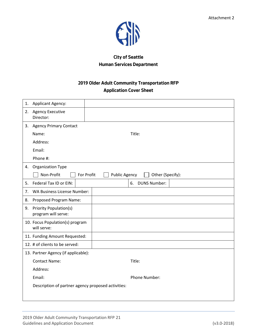

## **City of Seattle Human Services Department**

## **2019 Older Adult Community Transportation RFP Application Cover Sheet**

| 1. | Applicant Agency:                                  |                                          |  |
|----|----------------------------------------------------|------------------------------------------|--|
|    | 2. Agency Executive<br>Director:                   |                                          |  |
|    | 3. Agency Primary Contact                          |                                          |  |
|    | Name:                                              | Title:                                   |  |
|    | Address:                                           |                                          |  |
|    | Email:                                             |                                          |  |
|    | Phone #:                                           |                                          |  |
| 4. | Organization Type                                  |                                          |  |
|    | Non-Profit<br>For Profit                           | <b>Public Agency</b><br>Other (Specify): |  |
| 5. | Federal Tax ID or EIN:                             | <b>DUNS Number:</b><br>6.                |  |
| 7. | <b>WA Business License Number:</b>                 |                                          |  |
| 8. | Proposed Program Name:                             |                                          |  |
|    | 9. Priority Population(s)<br>program will serve:   |                                          |  |
|    | 10. Focus Population(s) program<br>will serve:     |                                          |  |
|    | 11. Funding Amount Requested:                      |                                          |  |
|    | 12. # of clients to be served:                     |                                          |  |
|    | 13. Partner Agency (if applicable):                |                                          |  |
|    | <b>Contact Name:</b>                               | Title:                                   |  |
|    | Address:                                           |                                          |  |
|    | Email:                                             | Phone Number:                            |  |
|    | Description of partner agency proposed activities: |                                          |  |
|    |                                                    |                                          |  |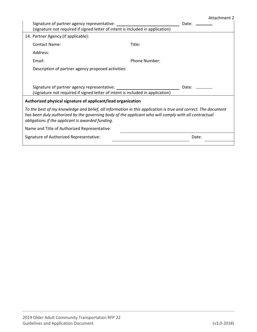#### Attachment 2

|                                                                                                                                                                                                                                                                           | Signature of partner agency representative:<br>(signature not required if signed letter of intent is included in application) | Date:         |  |  |
|---------------------------------------------------------------------------------------------------------------------------------------------------------------------------------------------------------------------------------------------------------------------------|-------------------------------------------------------------------------------------------------------------------------------|---------------|--|--|
|                                                                                                                                                                                                                                                                           | 14. Partner Agency (if applicable):                                                                                           |               |  |  |
|                                                                                                                                                                                                                                                                           | <b>Contact Name:</b>                                                                                                          | Title:        |  |  |
|                                                                                                                                                                                                                                                                           | Address:                                                                                                                      |               |  |  |
|                                                                                                                                                                                                                                                                           | Email:                                                                                                                        | Phone Number: |  |  |
|                                                                                                                                                                                                                                                                           | Description of partner agency proposed activities:                                                                            |               |  |  |
|                                                                                                                                                                                                                                                                           |                                                                                                                               |               |  |  |
|                                                                                                                                                                                                                                                                           | Signature of partner agency representative:<br>(signature not required if signed letter of intent is included in application) | Date:         |  |  |
|                                                                                                                                                                                                                                                                           | Authorized physical signature of applicant/lead organization                                                                  |               |  |  |
| To the best of my knowledge and belief, all information in this application is true and correct. The document<br>has been duly authorized by the governing body of the applicant who will comply with all contractual<br>obligations if the applicant is awarded funding. |                                                                                                                               |               |  |  |
|                                                                                                                                                                                                                                                                           | Name and Title of Authorized Representative:                                                                                  |               |  |  |
|                                                                                                                                                                                                                                                                           | Signature of Authorized Representative:                                                                                       | Date:         |  |  |
|                                                                                                                                                                                                                                                                           |                                                                                                                               |               |  |  |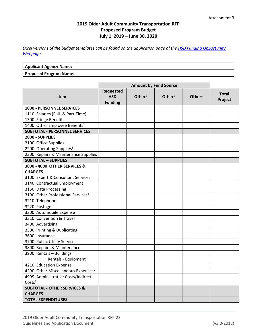## **2019 Older Adult Community Transportation RFP Proposed Program Budget July 1, 2019 – June 30, 2020**

*Excel versions of the budget templates can be found on the application page of the [HSD Funding Opportunity](http://www.seattle.gov/humanservices/funding-and-reports/funding-opportunities)  [Webpage](http://www.seattle.gov/humanservices/funding-and-reports/funding-opportunities)*

| <b>Applicant Agency Name:</b> |  |
|-------------------------------|--|
| <b>Proposed Program Name:</b> |  |

|                                                | <b>Amount by Fund Source</b>                     |           |                    |           |                         |
|------------------------------------------------|--------------------------------------------------|-----------|--------------------|-----------|-------------------------|
| <b>Item</b>                                    | <b>Requested</b><br><b>HSD</b><br><b>Funding</b> | Other $1$ | Other <sup>1</sup> | Other $1$ | <b>Total</b><br>Project |
| 1000 - PERSONNEL SERVICES                      |                                                  |           |                    |           |                         |
| 1110 Salaries (Full- & Part-Time)              |                                                  |           |                    |           |                         |
| 1300 Fringe Benefits                           |                                                  |           |                    |           |                         |
| 1400 Other Employee Benefits <sup>2</sup>      |                                                  |           |                    |           |                         |
| <b>SUBTOTAL - PERSONNEL SERVICES</b>           |                                                  |           |                    |           |                         |
| 2000 - SUPPLIES                                |                                                  |           |                    |           |                         |
| 2100 Office Supplies                           |                                                  |           |                    |           |                         |
| 2200 Operating Supplies <sup>3</sup>           |                                                  |           |                    |           |                         |
| 2300 Repairs & Maintenance Supplies            |                                                  |           |                    |           |                         |
| <b>SUBTOTAL - SUPPLIES</b>                     |                                                  |           |                    |           |                         |
| 3000 - 4000 OTHER SERVICES &                   |                                                  |           |                    |           |                         |
| <b>CHARGES</b>                                 |                                                  |           |                    |           |                         |
| 3100 Expert & Consultant Services              |                                                  |           |                    |           |                         |
| 3140 Contractual Employment                    |                                                  |           |                    |           |                         |
| 3150 Data Processing                           |                                                  |           |                    |           |                         |
| 3190 Other Professional Services <sup>4</sup>  |                                                  |           |                    |           |                         |
| 3210 Telephone                                 |                                                  |           |                    |           |                         |
| 3220 Postage                                   |                                                  |           |                    |           |                         |
| 3300 Automobile Expense                        |                                                  |           |                    |           |                         |
| 3310 Convention & Travel                       |                                                  |           |                    |           |                         |
| 3400 Advertising                               |                                                  |           |                    |           |                         |
| 3500 Printing & Duplicating                    |                                                  |           |                    |           |                         |
| 3600 Insurance                                 |                                                  |           |                    |           |                         |
| 3700 Public Utility Services                   |                                                  |           |                    |           |                         |
| 3800 Repairs & Maintenance                     |                                                  |           |                    |           |                         |
| 3900 Rentals - Buildings                       |                                                  |           |                    |           |                         |
| Rentals - Equipment                            |                                                  |           |                    |           |                         |
| 4210 Education Expense                         |                                                  |           |                    |           |                         |
| 4290 Other Miscellaneous Expenses <sup>5</sup> |                                                  |           |                    |           |                         |
| 4999 Administrative Costs/Indirect             |                                                  |           |                    |           |                         |
| Costs <sup>6</sup>                             |                                                  |           |                    |           |                         |
| <b>SUBTOTAL - OTHER SERVICES &amp;</b>         |                                                  |           |                    |           |                         |
| <b>CHARGES</b>                                 |                                                  |           |                    |           |                         |
| <b>TOTAL EXPENDITURES</b>                      |                                                  |           |                    |           |                         |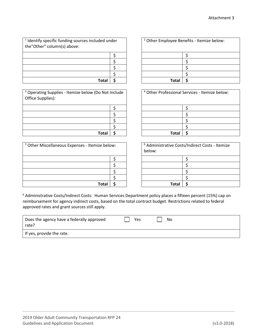| <sup>1</sup> Identify specific funding sources included under<br>the"Other" column(s) above: |  |  |
|----------------------------------------------------------------------------------------------|--|--|
|                                                                                              |  |  |
|                                                                                              |  |  |
|                                                                                              |  |  |
|                                                                                              |  |  |
| Total                                                                                        |  |  |

<sup>3</sup> Operating Supplies - Itemize below (Do Not Include Office Supplies):

| <b>Total</b> |  |
|--------------|--|

| <sup>5</sup> Other Miscellaneous Expenses - Itemize below: | <sup>6</sup> Administrative Costs/Indirect Costs - Itemize<br>below: |      |  |  |
|------------------------------------------------------------|----------------------------------------------------------------------|------|--|--|
|                                                            |                                                                      |      |  |  |
|                                                            |                                                                      |      |  |  |
|                                                            |                                                                      |      |  |  |
|                                                            |                                                                      |      |  |  |
| Total                                                      |                                                                      | Tota |  |  |

| ded under |  | <sup>2</sup> Other Employee Benefits - Itemize below: |  |  |  |
|-----------|--|-------------------------------------------------------|--|--|--|
|           |  |                                                       |  |  |  |
|           |  |                                                       |  |  |  |
|           |  |                                                       |  |  |  |
|           |  |                                                       |  |  |  |
| Total     |  | <b>Total</b>                                          |  |  |  |

|       | o Not Include |  | <sup>4</sup> Other Professional Services - Itemize below: |  |  |  |
|-------|---------------|--|-----------------------------------------------------------|--|--|--|
|       |               |  |                                                           |  |  |  |
|       |               |  |                                                           |  |  |  |
|       |               |  |                                                           |  |  |  |
|       |               |  |                                                           |  |  |  |
| Total |               |  | <b>Total</b>                                              |  |  |  |

| ze below: |  | <sup>6</sup> Administrative Costs/Indirect Costs - Itemize<br>below: |  |  |  |
|-----------|--|----------------------------------------------------------------------|--|--|--|
|           |  |                                                                      |  |  |  |
|           |  |                                                                      |  |  |  |
|           |  |                                                                      |  |  |  |
|           |  |                                                                      |  |  |  |
| Total     |  | <b>Total</b>                                                         |  |  |  |

<sup>6</sup> Administrative Costs/Indirect Costs: Human Services Department policy places a fifteen percent (15%) cap on reimbursement for agency indirect costs, based on the total contract budget. Restrictions related to federal approved rates and grant sources still apply.

| Does the agency have a federally approved<br>rate? | Yes | No |
|----------------------------------------------------|-----|----|
| If yes, provide the rate.                          |     |    |